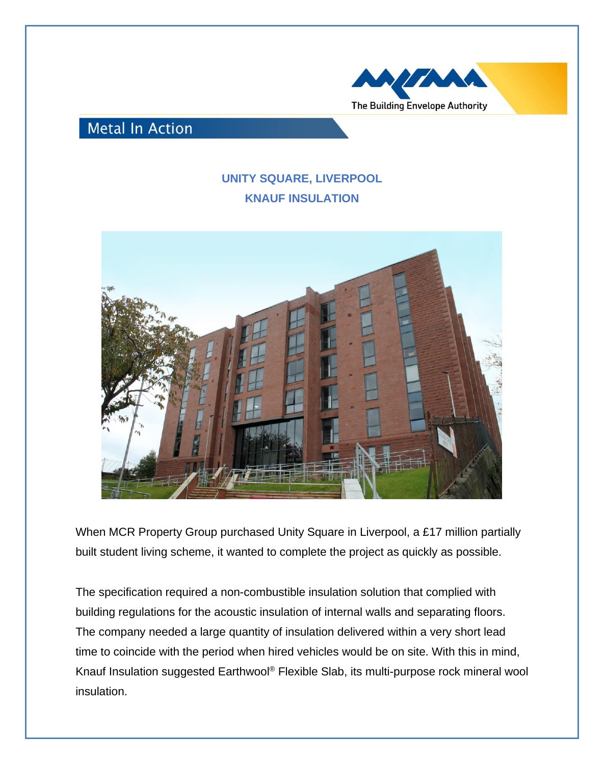

## **Metal In Action**

## **UNITY SQUARE, LIVERPOOL KNAUF INSULATION**



When MCR Property Group purchased Unity Square in Liverpool, a £17 million partially built student living scheme, it wanted to complete the project as quickly as possible.

The specification required a non-combustible insulation solution that complied with building regulations for the acoustic insulation of internal walls and separating floors. The company needed a large quantity of insulation delivered within a very short lead time to coincide with the period when hired vehicles would be on site. With this in mind, Knauf Insulation suggested Earthwool® Flexible Slab, its multi-purpose rock mineral wool insulation.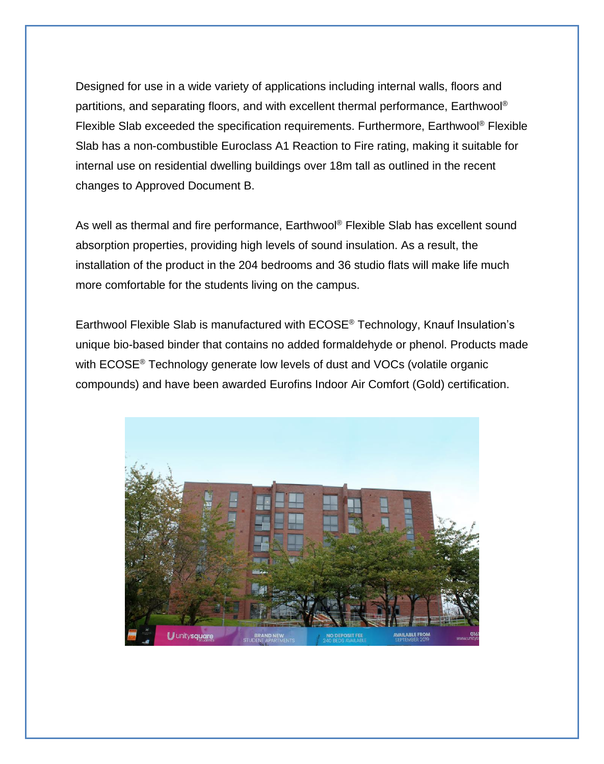Designed for use in a wide variety of applications including internal walls, floors and partitions, and separating floors, and with excellent thermal performance, Earthwool® Flexible Slab exceeded the specification requirements. Furthermore, Earthwool® Flexible Slab has a non-combustible Euroclass A1 Reaction to Fire rating, making it suitable for internal use on residential dwelling buildings over 18m tall as outlined in the recent changes to Approved Document B.

As well as thermal and fire performance, Earthwool® Flexible Slab has excellent sound absorption properties, providing high levels of sound insulation. As a result, the installation of the product in the 204 bedrooms and 36 studio flats will make life much more comfortable for the students living on the campus.

Earthwool Flexible Slab is manufactured with ECOSE® Technology, Knauf Insulation's unique bio-based binder that contains no added formaldehyde or phenol. Products made with ECOSE® Technology generate low levels of dust and VOCs (volatile organic compounds) and have been awarded Eurofins Indoor Air Comfort (Gold) certification.